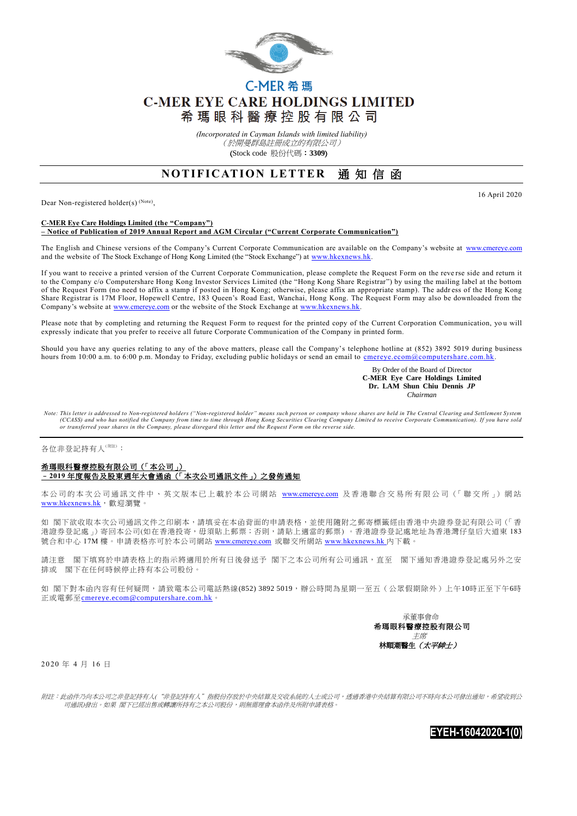

# C-MER 希瑪 **C-MER EYE CARE HOLDINGS LIMITED** 希 瑪 眼 科 醫 療 控 股 有 限 公 司

*(Incorporated in Cayman Islands with limited liability)* (於開曼群島註冊成立的有限公司) (Stock code 股份代碼:**3309**)

## **NOTIFICATION LETTER 通知信函**

Dear Non-registered holder(s)<sup>(Note)</sup>,

16 April 2020

#### **C-MER Eye Care Holdings Limited (the "Company") – Notice of Publication of 2019 Annual Report and AGM Circular ("Current Corporate Communication")**

The English and Chinese versions of the Company's Current Corporate Communication are available on the Company's website at [www.cmereye.com](http://www.cmereye.com/) and the website of The Stock Exchange of Hong Kong Limited (the "Stock Exchange") at www.hkexnews.hk

If you want to receive a printed version of the Current Corporate Communication, please complete the Request Form on the reve rse side and return it to the Company c/o Computershare Hong Kong Investor Services Limited (the "Hong Kong Share Registrar") by using the mailing label at the bottom of the Request Form (no need to affix a stamp if posted in Hong Kong; otherwise, please affix an appropriate stamp). The addr ess of the Hong Kong Share Registrar is 17M Floor, Hopewell Centre, 183 Queen's Road East, Wanchai, Hong Kong. The Request Form may also be downloaded from the Company's website at [www.cmereye.com](http://www.cmereye.com/) or the website of the Stock Exchange at www.hkexnews.hk

Please note that by completing and returning the Request Form to request for the printed copy of the Current Corporation Communication, you will expressly indicate that you prefer to receive all future Corporate Communication of the Company in printed form.

Should you have any queries relating to any of the above matters, please call the Company's telephone hotline at (852) 3892 5019 during business hours from 10:00 a.m. to 6:00 p.m. Monday to Friday, excluding public holidays or send an email to cmereye.ecom@computershare.com.hk

> By Order of the Board of Director  **C-MER Eye Care Holdings Limited Dr. LAM Shun Chiu Dennis** *JP Chairman*

*Note: This letter is addressed to Non-registered holders ("Non-registered holder" means such person or company whose shares are held in The Central Clearing and Settlement System*  (CCASS) and who has notified the Company from time to time through Hong Kong Securities Clearing Company Limited to receive Corporate Communication). If you have sold<br>or transferred your shares in the Company, please disre

#### 各位非登記持有人<sup>(附注)</sup>:

### 希瑪眼科醫療控股有限公司(「本公司」) –**2019** 年度報告及股東週年大會通函(「本次公司通訊文件」)之發佈通知

本公司的本次公司通訊文件中、英文版本已上載於本公司網站 [www.cmereye.com](http://www.cmereye.com/) 及香港聯合交易所有限公司(「聯交所」) 網站 [www.hkexnews.hk](http://www.hkexnews.hk/), 歡迎瀏覽。

如 閣下欲收取本次公司通訊文件之印刷本,請填妥在本函背面的申請表格,並使用隨附之郵寄標籤經由香港中央證券登記有限公司 (「香 港證券登記處」)寄回本公司(如在香港投寄,毋須貼上郵票;否則,請貼上適當的郵票)。香港證券登記處地址為香港灣仔皇后大道東183 號合和中心 17M 樓。申請表格亦可於本公司網站 [www.cmereye.com](http://www.cmereye.com/) 或聯交所網站 [www.hkexnews.hk](http://www.hkexnews.hk/) 內下載。

請注意 閣下填寫於申請表格上的指示將適用於所有日後發送予 閣下之本公司所有公司通訊,直至 閣下通知香港證券登記處另外之安 排或 閣下在任何時候停止持有本公司股份。

如 閣下對本函內容有任何疑問,請致電本公司電話熱線(852) 3892 5019,辦公時間為星期一至五(公眾假期除外)上午10時正至下午6時 正或電郵至[cmereye.ecom@computershare.com.hk](mailto:cmereye.ecom@computershare.com.hk)。



2 0 20 年 4 月 16 日

附註:此函件乃向本公司之非登記持有人("非登記持有人"指股份存放於中央結算及交收系統的人士或公司,透過香港中央結算有限公司不時向本公司發出通知,希望收到公 司通訊)發出。如果 閣下已經出售或轉讓所持有之本公司股份,則無需理會本函件及所附申請表格。